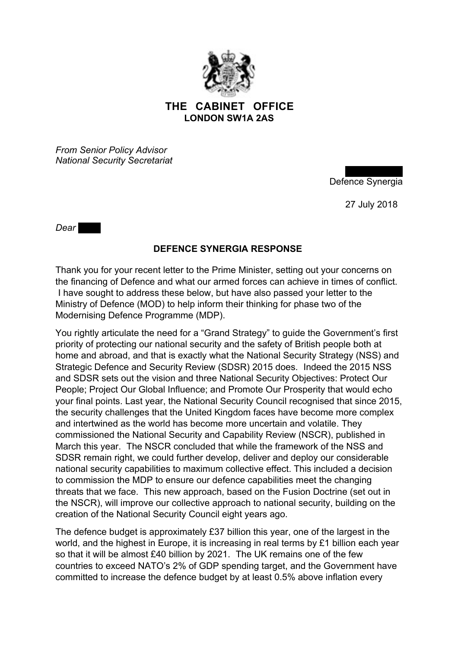

## **THE CABINET OFFICE LONDON SW1A 2AS**

*From Senior Policy Advisor National Security Secretariat* 

Defence Synergia

27 July 2018

*Dear John,*

## **DEFENCE SYNERGIA RESPONSE**

Thank you for your recent letter to the Prime Minister, setting out your concerns on the financing of Defence and what our armed forces can achieve in times of conflict. I have sought to address these below, but have also passed your letter to the Ministry of Defence (MOD) to help inform their thinking for phase two of the Modernising Defence Programme (MDP).

You rightly articulate the need for a "Grand Strategy" to guide the Government's first priority of protecting our national security and the safety of British people both at home and abroad, and that is exactly what the National Security Strategy (NSS) and Strategic Defence and Security Review (SDSR) 2015 does. Indeed the 2015 NSS and SDSR sets out the vision and three National Security Objectives: Protect Our People; Project Our Global Influence; and Promote Our Prosperity that would echo your final points. Last year, the National Security Council recognised that since 2015, the security challenges that the United Kingdom faces have become more complex and intertwined as the world has become more uncertain and volatile. They commissioned the National Security and Capability Review (NSCR), published in March this year. The NSCR concluded that while the framework of the NSS and SDSR remain right, we could further develop, deliver and deploy our considerable national security capabilities to maximum collective effect. This included a decision to commission the MDP to ensure our defence capabilities meet the changing threats that we face. This new approach, based on the Fusion Doctrine (set out in the NSCR), will improve our collective approach to national security, building on the creation of the National Security Council eight years ago.

The defence budget is approximately £37 billion this year, one of the largest in the world, and the highest in Europe, it is increasing in real terms by £1 billion each year so that it will be almost £40 billion by 2021. The UK remains one of the few countries to exceed NATO's 2% of GDP spending target, and the Government have committed to increase the defence budget by at least 0.5% above inflation every